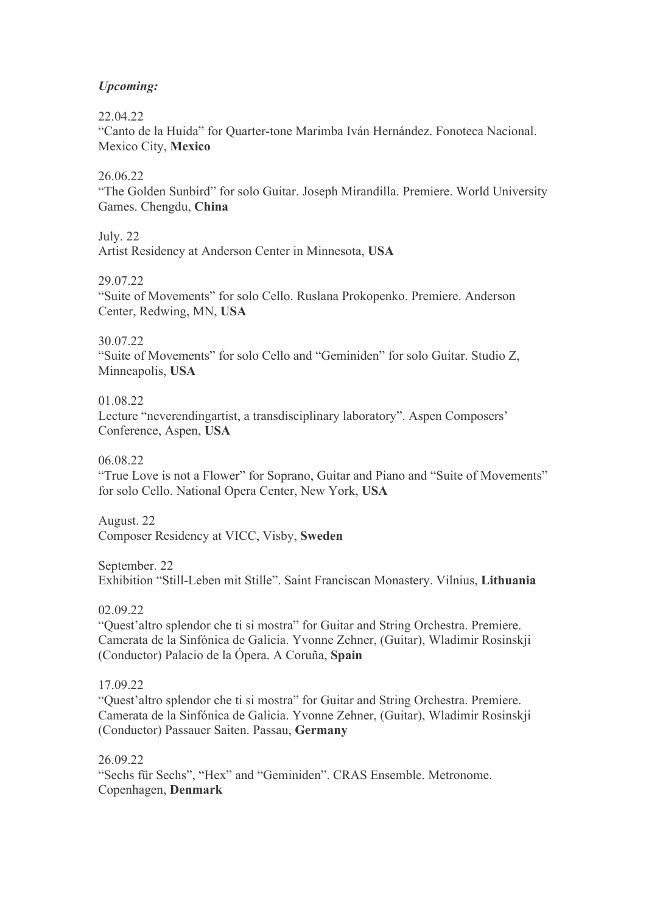# *Upcoming:*

22.04.22

"Canto de la Huida" for Quarter-tone Marimba Iván Hernández. Fonoteca Nacional. Mexico City, **Mexico**

## 26.06.22

"The Golden Sunbird" for solo Guitar. Joseph Mirandilla. Premiere. World University Games. Chengdu, **China** 

July. 22

Artist Residency at Anderson Center in Minnesota, **USA** 

29.07.22

"Suite of Movements" for solo Cello. Ruslana Prokopenko. Premiere. Anderson Center, Redwing, MN, **USA** 

30.07.22

"Suite of Movements" for solo Cello and "Geminiden" for solo Guitar. Studio Z, Minneapolis, **USA** 

# 01.08.22

Lecture "neverendingartist, a transdisciplinary laboratory". Aspen Composers' Conference, Aspen, **USA**

06.08.22

"True Love is not a Flower" for Soprano, Guitar and Piano and "Suite of Movements" for solo Cello. National Opera Center, New York, **USA**

August. 22 Composer Residency at VICC, Visby, **Sweden**

September. 22

Exhibition "Still-Leben mit Stille". Saint Franciscan Monastery. Vilnius, **Lithuania**

02.09.22

"Quest'altro splendor che ti si mostra" for Guitar and String Orchestra. Premiere. Camerata de la Sinfónica de Galicia. Yvonne Zehner, (Guitar), Wladimir Rosinskji (Conductor) Palacio de la Ópera. A Coruña, **Spain**

# 17.09.22

"Quest'altro splendor che ti si mostra" for Guitar and String Orchestra. Premiere. Camerata de la Sinfónica de Galicia. Yvonne Zehner, (Guitar), Wladimir Rosinskji (Conductor) Passauer Saiten. Passau, **Germany**

# 26.09.22

"Sechs für Sechs", "Hex" and "Geminiden". CRAS Ensemble. Metronome. Copenhagen, **Denmark**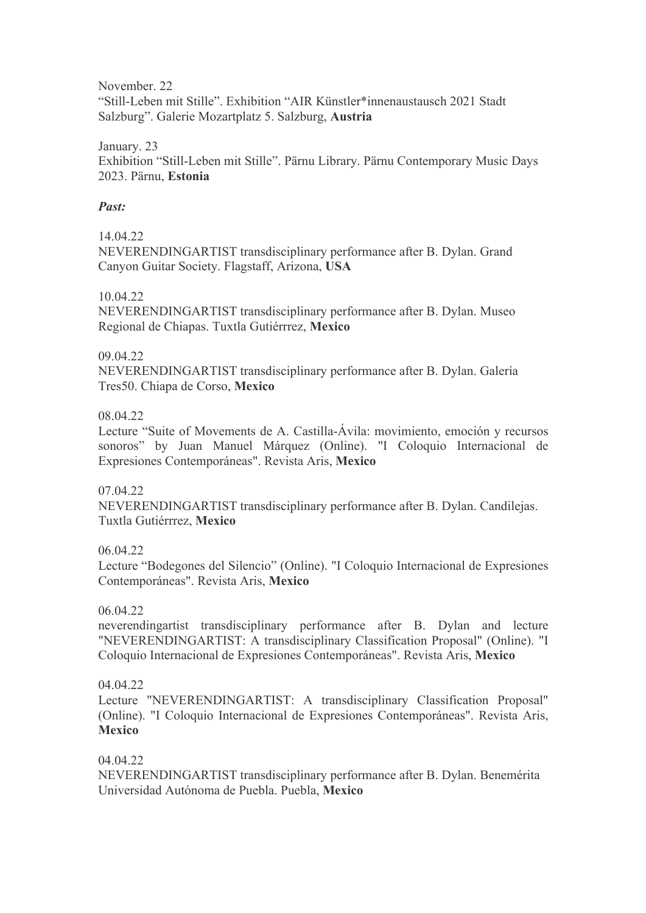November. 22 "Still-Leben mit Stille". Exhibition "AIR Künstler\*innenaustausch 2021 Stadt Salzburg". Galerie Mozartplatz 5. Salzburg, **Austria** 

January. 23 Exhibition "Still-Leben mit Stille". Pärnu Library. Pärnu Contemporary Music Days 2023. Pärnu, **Estonia**

### *Past:*

### 14.04.22

NEVERENDINGARTIST transdisciplinary performance after B. Dylan. Grand Canyon Guitar Society. Flagstaff, Arizona, **USA**

## 10.04.22

NEVERENDINGARTIST transdisciplinary performance after B. Dylan. Museo Regional de Chiapas. Tuxtla Gutiérrrez, **Mexico**

### 09.04.22

NEVERENDINGARTIST transdisciplinary performance after B. Dylan. Galería Tres50. Chiapa de Corso, **Mexico**

## 08.04.22

Lecture "Suite of Movements de A. Castilla-Ávila: movimiento, emoción y recursos sonoros" by Juan Manuel Márquez (Online). "I Coloquio Internacional de Expresiones Contemporáneas". Revista Aris, **Mexico**

### 07.04.22

NEVERENDINGARTIST transdisciplinary performance after B. Dylan. Candilejas. Tuxtla Gutiérrrez, **Mexico**

# 06.04.22

Lecture "Bodegones del Silencio" (Online). "I Coloquio Internacional de Expresiones Contemporáneas". Revista Aris, **Mexico**

### 06.04.22

neverendingartist transdisciplinary performance after B. Dylan and lecture "NEVERENDINGARTIST: A transdisciplinary Classification Proposal" (Online). "I Coloquio Internacional de Expresiones Contemporáneas". Revista Aris, **Mexico**

### 04.04.22

Lecture "NEVERENDINGARTIST: A transdisciplinary Classification Proposal" (Online). "I Coloquio Internacional de Expresiones Contemporáneas". Revista Aris, **Mexico**

### 04.04.22

NEVERENDINGARTIST transdisciplinary performance after B. Dylan. Benemérita Universidad Autónoma de Puebla. Puebla, **Mexico**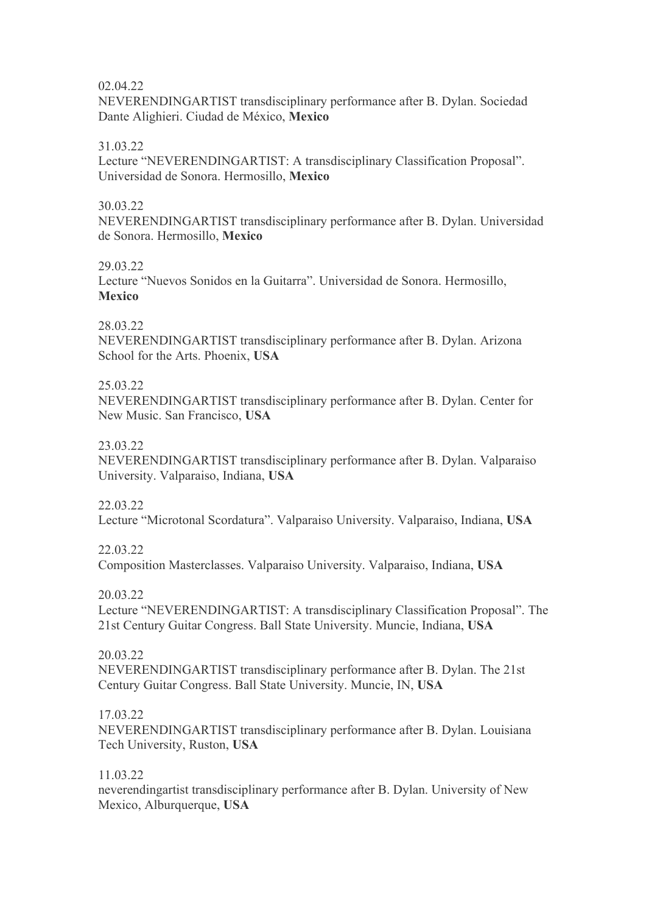### 02.04.22

NEVERENDINGARTIST transdisciplinary performance after B. Dylan. Sociedad Dante Alighieri. Ciudad de México, **Mexico**

## 31.03.22

Lecture "NEVERENDINGARTIST: A transdisciplinary Classification Proposal". Universidad de Sonora. Hermosillo, **Mexico**

### 30.03.22

NEVERENDINGARTIST transdisciplinary performance after B. Dylan. Universidad de Sonora. Hermosillo, **Mexico**

## 29.03.22

Lecture "Nuevos Sonidos en la Guitarra". Universidad de Sonora. Hermosillo, **Mexico**

## 28.03.22

NEVERENDINGARTIST transdisciplinary performance after B. Dylan. Arizona School for the Arts. Phoenix, **USA**

## 25.03.22

NEVERENDINGARTIST transdisciplinary performance after B. Dylan. Center for New Music. San Francisco, **USA**

## 23.03.22

NEVERENDINGARTIST transdisciplinary performance after B. Dylan. Valparaiso University. Valparaiso, Indiana, **USA**

# 22.03.22

Lecture "Microtonal Scordatura". Valparaiso University. Valparaiso, Indiana, **USA**

# 22.03.22

Composition Masterclasses. Valparaiso University. Valparaiso, Indiana, **USA**

### 20.03.22

Lecture "NEVERENDINGARTIST: A transdisciplinary Classification Proposal". The 21st Century Guitar Congress. Ball State University. Muncie, Indiana, **USA**

# 20.03.22

NEVERENDINGARTIST transdisciplinary performance after B. Dylan. The 21st Century Guitar Congress. Ball State University. Muncie, IN, **USA**

### 17.03.22

NEVERENDINGARTIST transdisciplinary performance after B. Dylan. Louisiana Tech University, Ruston, **USA**

### 11.03.22

neverendingartist transdisciplinary performance after B. Dylan. University of New Mexico, Alburquerque, **USA**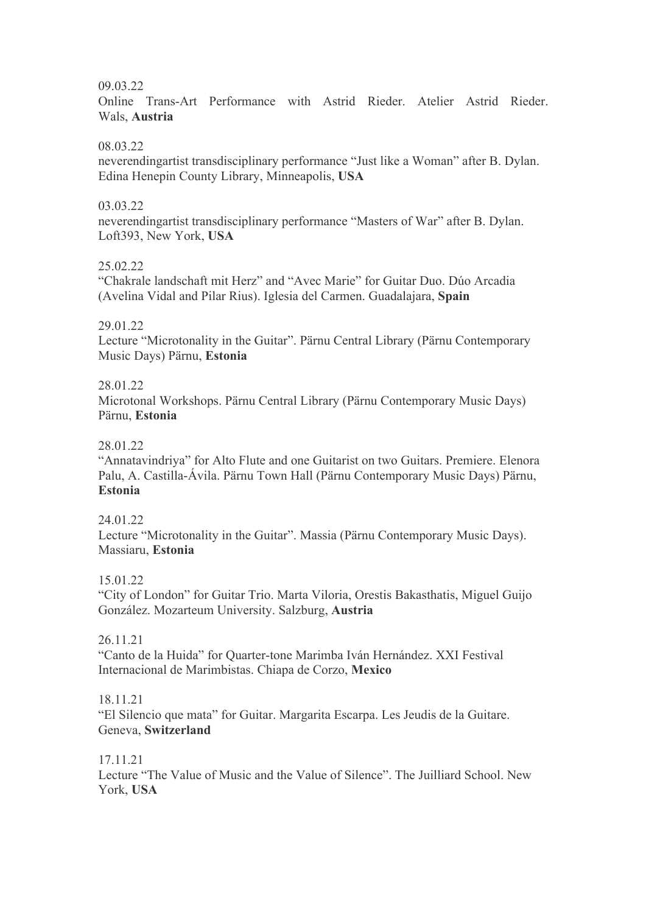## 09.03.22

Online Trans-Art Performance with Astrid Rieder. Atelier Astrid Rieder. Wals, **Austria**

## 08.03.22

neverendingartist transdisciplinary performance "Just like a Woman" after B. Dylan. Edina Henepin County Library, Minneapolis, **USA**

## 03.03.22

neverendingartist transdisciplinary performance "Masters of War" after B. Dylan. Loft393, New York, **USA**

# 25.02.22

"Chakrale landschaft mit Herz" and "Avec Marie" for Guitar Duo. Dúo Arcadia (Avelina Vidal and Pilar Rius). Iglesia del Carmen. Guadalajara, **Spain**

## 29.01.22

Lecture "Microtonality in the Guitar". Pärnu Central Library (Pärnu Contemporary Music Days) Pärnu, **Estonia** 

## 28.01.22

Microtonal Workshops. Pärnu Central Library (Pärnu Contemporary Music Days) Pärnu, **Estonia** 

## 28.01.22

"Annatavindriya" for Alto Flute and one Guitarist on two Guitars. Premiere. Elenora Palu, A. Castilla-Ávila. Pärnu Town Hall (Pärnu Contemporary Music Days) Pärnu, **Estonia** 

### 24.01.22

Lecture "Microtonality in the Guitar". Massia (Pärnu Contemporary Music Days). Massiaru, **Estonia** 

### 15.01.22

"City of London" for Guitar Trio. Marta Viloria, Orestis Bakasthatis, Miguel Guijo González. Mozarteum University. Salzburg, **Austria** 

## 26.11.21

"Canto de la Huida" for Quarter-tone Marimba Iván Hernández. XXI Festival Internacional de Marimbistas. Chiapa de Corzo, **Mexico** 

### 18.11.21

"El Silencio que mata" for Guitar. Margarita Escarpa. Les Jeudis de la Guitare. Geneva, **Switzerland** 

### 17.11.21

Lecture "The Value of Music and the Value of Silence". The Juilliard School. New York, **USA**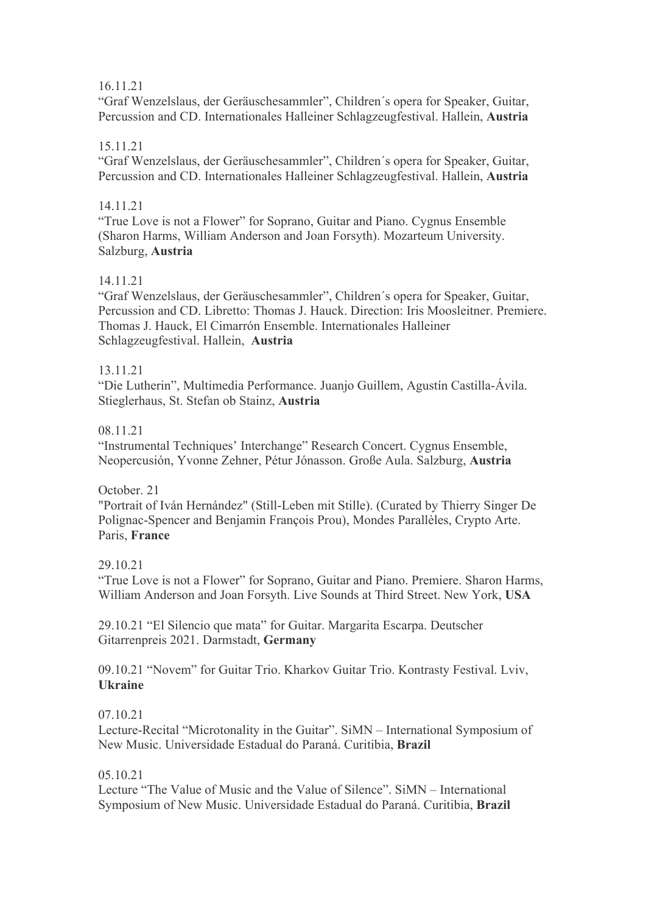# 16.11.21

"Graf Wenzelslaus, der Geräuschesammler", Children´s opera for Speaker, Guitar, Percussion and CD. Internationales Halleiner Schlagzeugfestival. Hallein, **Austria** 

# 15.11.21

"Graf Wenzelslaus, der Geräuschesammler", Children´s opera for Speaker, Guitar, Percussion and CD. Internationales Halleiner Schlagzeugfestival. Hallein, **Austria**

# 14.11.21

"True Love is not a Flower" for Soprano, Guitar and Piano. Cygnus Ensemble (Sharon Harms, William Anderson and Joan Forsyth). Mozarteum University. Salzburg, **Austria** 

# 14.11.21

"Graf Wenzelslaus, der Geräuschesammler", Children´s opera for Speaker, Guitar, Percussion and CD. Libretto: Thomas J. Hauck. Direction: Iris Moosleitner. Premiere. Thomas J. Hauck, El Cimarrón Ensemble. Internationales Halleiner Schlagzeugfestival. Hallein, **Austria** 

# 13.11.21

"Die Lutherin", Multimedia Performance. Juanjo Guillem, Agustín Castilla-Ávila. Stieglerhaus, St. Stefan ob Stainz, **Austria** 

# 08.11.21

"Instrumental Techniques' Interchange" Research Concert. Cygnus Ensemble, Neopercusión, Yvonne Zehner, Pétur Jónasson. Große Aula. Salzburg, **Austria** 

# October. 21

"Portrait of Iván Hernández" (Still-Leben mit Stille). (Curated by Thierry Singer De Polignac-Spencer and Benjamin François Prou), Mondes Parallèles, Crypto Arte. Paris, **France** 

### 29.10.21

"True Love is not a Flower" for Soprano, Guitar and Piano. Premiere. Sharon Harms, William Anderson and Joan Forsyth. Live Sounds at Third Street. New York, **USA**

29.10.21 "El Silencio que mata" for Guitar. Margarita Escarpa. Deutscher Gitarrenpreis 2021. Darmstadt, **Germany** 

09.10.21 "Novem" for Guitar Trio. Kharkov Guitar Trio. Kontrasty Festival. Lviv, **Ukraine** 

# 07.10.21

Lecture-Recital "Microtonality in the Guitar". SiMN – International Symposium of New Music. Universidade Estadual do Paraná. Curitibia, **Brazil**

### 05.10.21

Lecture "The Value of Music and the Value of Silence". SiMN – International Symposium of New Music. Universidade Estadual do Paraná. Curitibia, **Brazil**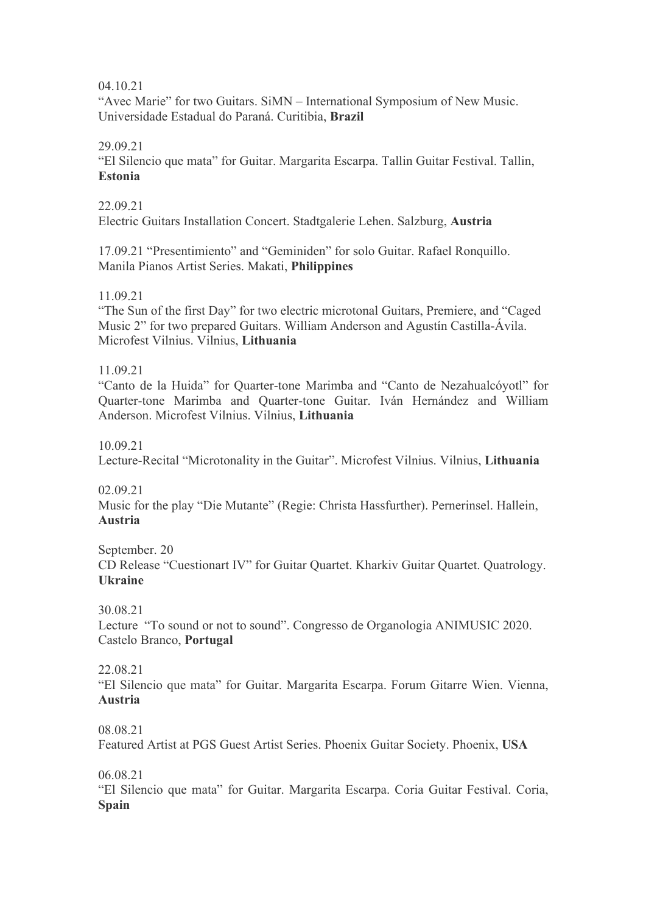04.10.21

"Avec Marie" for two Guitars. SiMN – International Symposium of New Music. Universidade Estadual do Paraná. Curitibia, **Brazil** 

29.09.21

"El Silencio que mata" for Guitar. Margarita Escarpa. Tallin Guitar Festival. Tallin, **Estonia** 

22.09.21

Electric Guitars Installation Concert. Stadtgalerie Lehen. Salzburg, **Austria**

17.09.21 "Presentimiento" and "Geminiden" for solo Guitar. Rafael Ronquillo. Manila Pianos Artist Series. Makati, **Philippines**

11.09.21

"The Sun of the first Day" for two electric microtonal Guitars, Premiere, and "Caged Music 2" for two prepared Guitars. William Anderson and Agustín Castilla-Ávila. Microfest Vilnius. Vilnius, **Lithuania**

11.09.21

"Canto de la Huida" for Quarter-tone Marimba and "Canto de Nezahualcóyotl" for Quarter-tone Marimba and Quarter-tone Guitar. Iván Hernández and William Anderson. Microfest Vilnius. Vilnius, **Lithuania**

10.09.21

Lecture-Recital "Microtonality in the Guitar". Microfest Vilnius. Vilnius, **Lithuania**

02.09.21

Music for the play "Die Mutante" (Regie: Christa Hassfurther). Pernerinsel. Hallein, **Austria**

September. 20 CD Release "Cuestionart IV" for Guitar Quartet. Kharkiv Guitar Quartet. Quatrology. **Ukraine**

30.08.21

Lecture "To sound or not to sound". Congresso de Organologia ANIMUSIC 2020. Castelo Branco, **Portugal**

22.08.21

"El Silencio que mata" for Guitar. Margarita Escarpa. Forum Gitarre Wien. Vienna, **Austria**

08.08.21

Featured Artist at PGS Guest Artist Series. Phoenix Guitar Society. Phoenix, **USA**

06.08.21

"El Silencio que mata" for Guitar. Margarita Escarpa. Coria Guitar Festival. Coria, **Spain**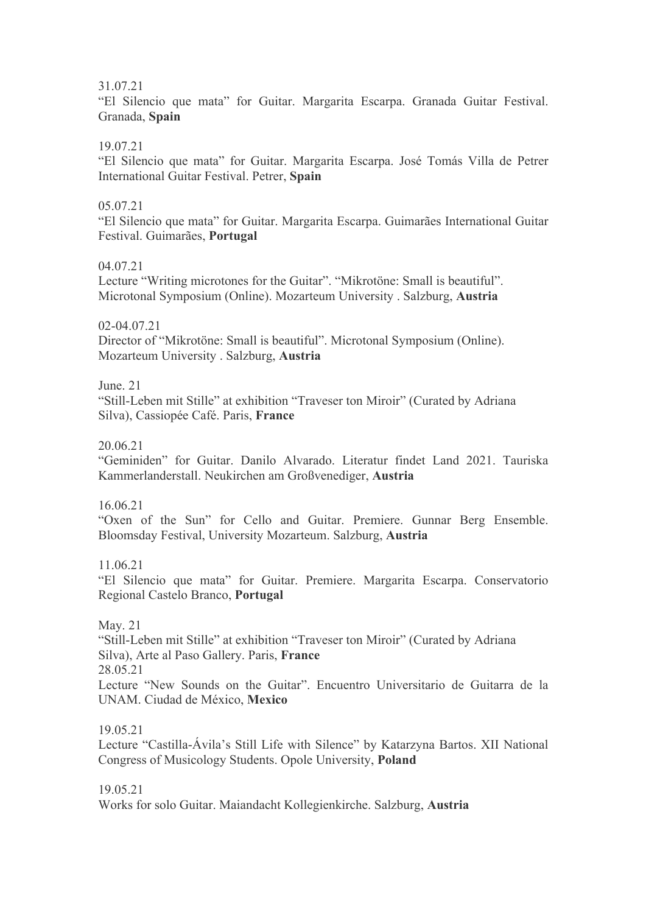31.07.21

"El Silencio que mata" for Guitar. Margarita Escarpa. Granada Guitar Festival. Granada, **Spain**

19.07.21

"El Silencio que mata" for Guitar. Margarita Escarpa. José Tomás Villa de Petrer International Guitar Festival. Petrer, **Spain**

## 05.07.21

"El Silencio que mata" for Guitar. Margarita Escarpa. Guimarães International Guitar Festival. Guimarães, **Portugal**

04.07.21

Lecture "Writing microtones for the Guitar". "Mikrotöne: Small is beautiful". Microtonal Symposium (Online). Mozarteum University . Salzburg, **Austria**

02-04.07.21

Director of "Mikrotöne: Small is beautiful". Microtonal Symposium (Online). Mozarteum University . Salzburg, **Austria**

June. 21

"Still-Leben mit Stille" at exhibition "Traveser ton Miroir" (Curated by Adriana Silva), Cassiopée Café. Paris, **France**

20.06.21

"Geminiden" for Guitar. Danilo Alvarado. Literatur findet Land 2021. Tauriska Kammerlanderstall. Neukirchen am Großvenediger, **Austria**

16.06.21

"Oxen of the Sun" for Cello and Guitar. Premiere. Gunnar Berg Ensemble. Bloomsday Festival, University Mozarteum. Salzburg, **Austria**

11.06.21

"El Silencio que mata" for Guitar. Premiere. Margarita Escarpa. Conservatorio Regional Castelo Branco, **Portugal**

May. 21

"Still-Leben mit Stille" at exhibition "Traveser ton Miroir" (Curated by Adriana Silva), Arte al Paso Gallery. Paris, **France** 28.05.21

Lecture "New Sounds on the Guitar". Encuentro Universitario de Guitarra de la UNAM. Ciudad de México, **Mexico**

19.05.21

Lecture "Castilla-Ávila's Still Life with Silence" by Katarzyna Bartos. XII National Congress of Musicology Students. Opole University, **Poland**

19.05.21

Works for solo Guitar. Maiandacht Kollegienkirche. Salzburg, **Austria**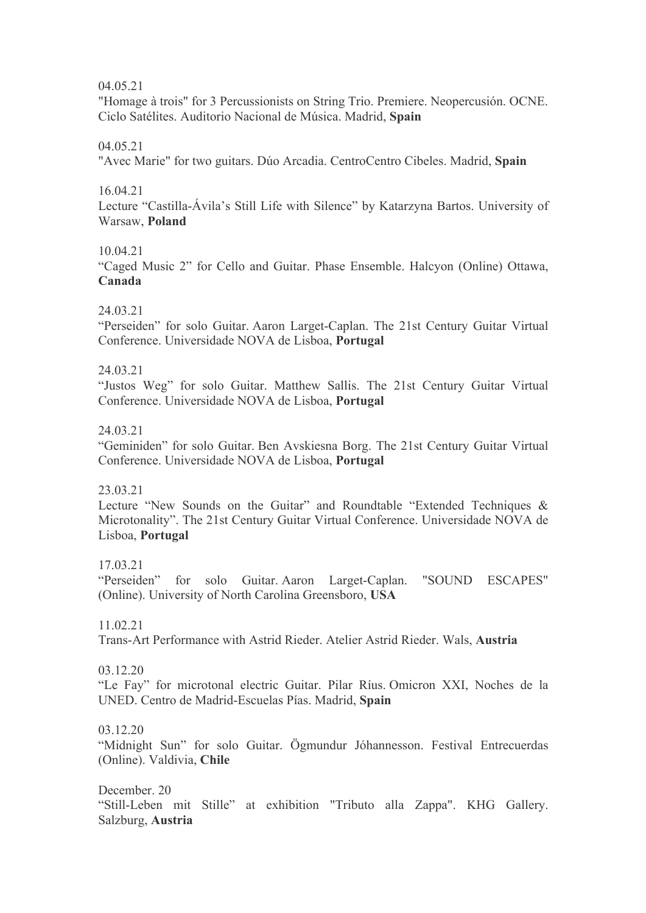04.05.21

"Homage à trois" for 3 Percussionists on String Trio. Premiere. Neopercusión. OCNE. Ciclo Satélites. Auditorio Nacional de Música. Madrid, **Spain**

04.05.21

"Avec Marie" for two guitars. Dúo Arcadia. CentroCentro Cibeles. Madrid, **Spain**

16.04.21

Lecture "Castilla-Ávila's Still Life with Silence" by Katarzyna Bartos. University of Warsaw, **Poland** 

10.04.21

"Caged Music 2" for Cello and Guitar. Phase Ensemble. Halcyon (Online) Ottawa, **Canada** 

24.03.21

"Perseiden" for solo Guitar. Aaron Larget-Caplan. The 21st Century Guitar Virtual Conference. Universidade NOVA de Lisboa, **Portugal**

24.03.21

"Justos Weg" for solo Guitar. Matthew Sallis. The 21st Century Guitar Virtual Conference. Universidade NOVA de Lisboa, **Portugal**

24.03.21

"Geminiden" for solo Guitar. Ben Avskiesna Borg. The 21st Century Guitar Virtual Conference. Universidade NOVA de Lisboa, **Portugal**

23.03.21

Lecture "New Sounds on the Guitar" and Roundtable "Extended Techniques & Microtonality". The 21st Century Guitar Virtual Conference. Universidade NOVA de Lisboa, **Portugal**

17.03.21

"Perseiden" for solo Guitar. Aaron Larget-Caplan. "SOUND ESCAPES" (Online). University of North Carolina Greensboro, **USA**

11.02.21

Trans-Art Performance with Astrid Rieder. Atelier Astrid Rieder. Wals, **Austria**

03.12.20

"Le Fay" for microtonal electric Guitar. Pilar Ríus. Omicron XXI, Noches de la UNED. Centro de Madrid-Escuelas Pías. Madrid, **Spain**

03.12.20

"Midnight Sun" for solo Guitar. Ögmundur Jóhannesson. Festival Entrecuerdas (Online). Valdivia, **Chile**

December. 20 "Still-Leben mit Stille" at exhibition "Tributo alla Zappa". KHG Gallery. Salzburg, **Austria**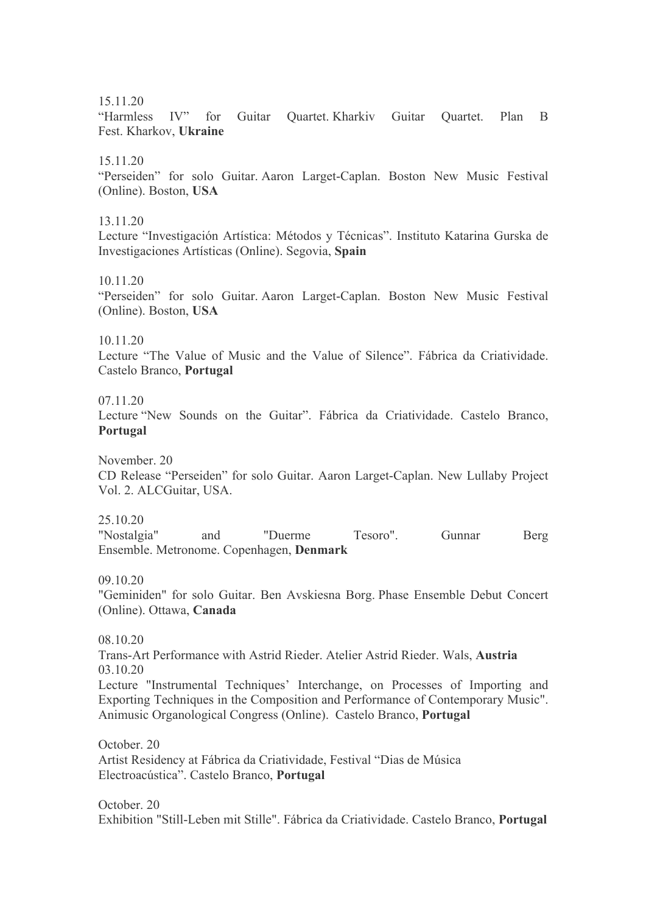#### 15.11.20

"Harmless IV" for Guitar Quartet. Kharkiv Guitar Quartet. Plan B Fest. Kharkov, **Ukraine**

#### 15.11.20

"Perseiden" for solo Guitar. Aaron Larget-Caplan. Boston New Music Festival (Online). Boston, **USA**

#### 13.11.20

Lecture "Investigación Artística: Métodos y Técnicas". Instituto Katarina Gurska de Investigaciones Artísticas (Online). Segovia, **Spain**

#### 10.11.20

"Perseiden" for solo Guitar. Aaron Larget-Caplan. Boston New Music Festival (Online). Boston, **USA**

#### 10.11.20

Lecture "The Value of Music and the Value of Silence". Fábrica da Criatividade. Castelo Branco, **Portugal**

### 07.11.20

Lecture "New Sounds on the Guitar". Fábrica da Criatividade. Castelo Branco, **Portugal**

November. 20

CD Release "Perseiden" for solo Guitar. Aaron Larget-Caplan. New Lullaby Project Vol. 2. ALCGuitar, USA.

25.10.20

"Nostalgia" and "Duerme Tesoro". Gunnar Berg Ensemble. Metronome. Copenhagen, **Denmark**

09.10.20

"Geminiden" for solo Guitar. Ben Avskiesna Borg. Phase Ensemble Debut Concert (Online). Ottawa, **Canada**

08.10.20

Trans-Art Performance with Astrid Rieder. Atelier Astrid Rieder. Wals, **Austria** 03.10.20

Lecture "Instrumental Techniques' Interchange, on Processes of Importing and Exporting Techniques in the Composition and Performance of Contemporary Music". Animusic Organological Congress (Online). Castelo Branco, **Portugal**

October. 20 Artist Residency at Fábrica da Criatividade, Festival "Dias de Música Electroacústica". Castelo Branco, **Portugal**

October. 20 Exhibition "Still-Leben mit Stille". Fábrica da Criatividade. Castelo Branco, **Portugal**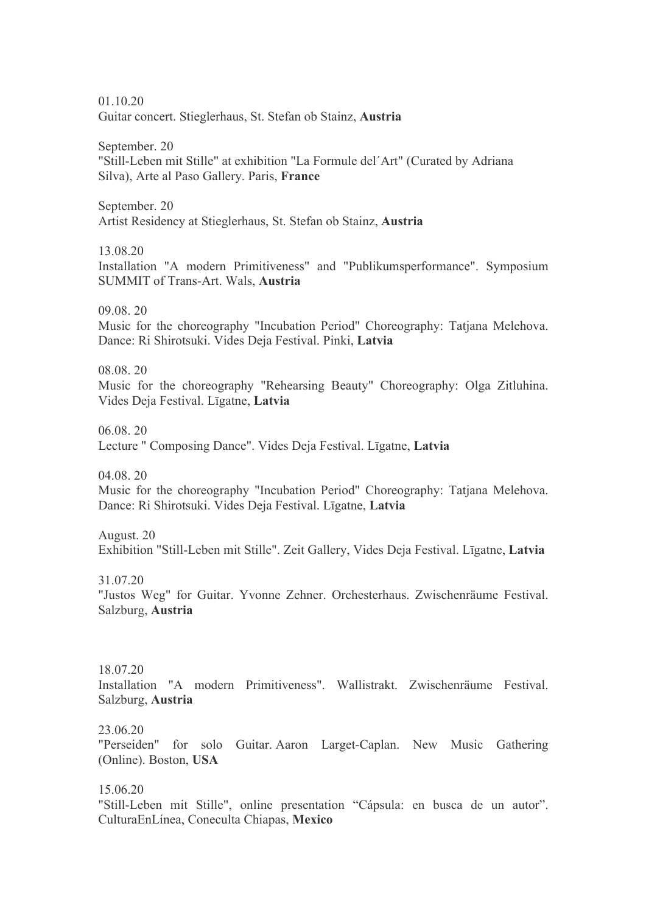01.10.20 Guitar concert. Stieglerhaus, St. Stefan ob Stainz, **Austria**

September. 20 "Still-Leben mit Stille" at exhibition "La Formule del´Art" (Curated by Adriana Silva), Arte al Paso Gallery. Paris, **France** 

September. 20 Artist Residency at Stieglerhaus, St. Stefan ob Stainz, **Austria**

13.08.20

Installation "A modern Primitiveness" and "Publikumsperformance". Symposium SUMMIT of Trans-Art. Wals, **Austria**

09.08. 20

Music for the choreography "Incubation Period" Choreography: Tatjana Melehova. Dance: Ri Shirotsuki. Vides Deja Festival. Pinki, **Latvia**

08.08. 20

Music for the choreography "Rehearsing Beauty" Choreography: Olga Zitluhina. Vides Deja Festival. Līgatne, **Latvia**

06.08. 20

Lecture " Composing Dance". Vides Deja Festival. Līgatne, **Latvia**

04.08. 20

Music for the choreography "Incubation Period" Choreography: Tatjana Melehova. Dance: Ri Shirotsuki. Vides Deja Festival. Līgatne, **Latvia**

August. 20

Exhibition "Still-Leben mit Stille". Zeit Gallery, Vides Deja Festival. Līgatne, **Latvia**

31.07.20

"Justos Weg" for Guitar. Yvonne Zehner. Orchesterhaus. Zwischenräume Festival. Salzburg, **Austria**

18.07.20

Installation "A modern Primitiveness". Wallistrakt. Zwischenräume Festival. Salzburg, **Austria**

23.06.20

"Perseiden" for solo Guitar. Aaron Larget-Caplan. New Music Gathering (Online). Boston, **USA**

15.06.20 "Still-Leben mit Stille", online presentation "Cápsula: en busca de un autor". CulturaEnLínea, Coneculta Chiapas, **Mexico**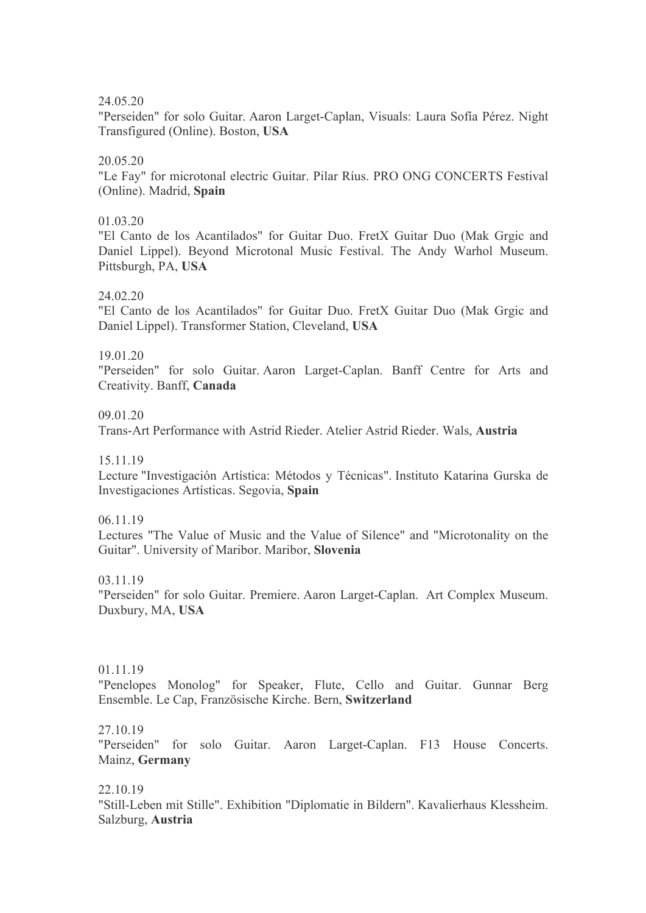24.05.20

"Perseiden" for solo Guitar. Aaron Larget-Caplan, Visuals: Laura Sofía Pérez. Night Transfigured (Online). Boston, **USA**

## 20.05.20

"Le Fay" for microtonal electric Guitar. Pilar Ríus. PRO ONG CONCERTS Festival (Online). Madrid, **Spain**

### 01.03.20

"El Canto de los Acantilados" for Guitar Duo. FretX Guitar Duo (Mak Grgic and Daniel Lippel). Beyond Microtonal Music Festival. The Andy Warhol Museum. Pittsburgh, PA, **USA**

### 24.02.20

"El Canto de los Acantilados" for Guitar Duo. FretX Guitar Duo (Mak Grgic and Daniel Lippel). Transformer Station, Cleveland, **USA**

# 19.01.20

"Perseiden" for solo Guitar. Aaron Larget-Caplan. Banff Centre for Arts and Creativity. Banff, **Canada**

### 09.01.20

Trans-Art Performance with Astrid Rieder. Atelier Astrid Rieder. Wals, **Austria**

15.11.19

Lecture "Investigación Artística: Métodos y Técnicas". Instituto Katarina Gurska de Investigaciones Artísticas. Segovia, **Spain**

06.11.19

Lectures "The Value of Music and the Value of Silence" and "Microtonality on the Guitar". University of Maribor. Maribor, **Slovenia**

03.11.19

"Perseiden" for solo Guitar. Premiere. Aaron Larget-Caplan. Art Complex Museum. Duxbury, MA, **USA**

# 01.11.19

"Penelopes Monolog" for Speaker, Flute, Cello and Guitar. Gunnar Berg Ensemble. Le Cap, Französische Kirche. Bern, **Switzerland**

27.10.19

"Perseiden" for solo Guitar. Aaron Larget-Caplan. F13 House Concerts. Mainz, **Germany**

# 22.10.19

"Still-Leben mit Stille". Exhibition "Diplomatie in Bildern". Kavalierhaus Klessheim. Salzburg, **Austria**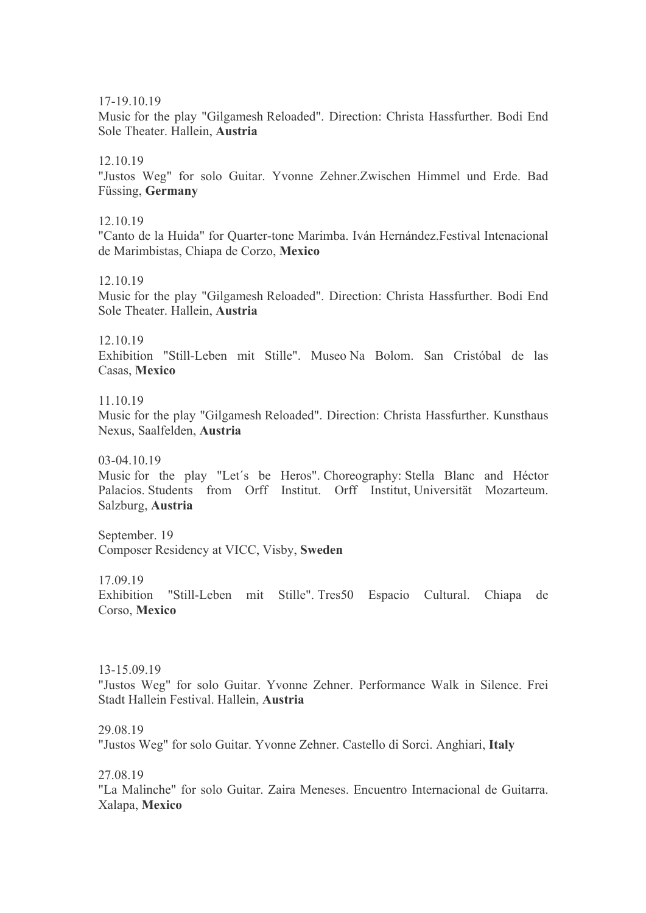17-19.10.19

Music for the play "Gilgamesh Reloaded". Direction: Christa Hassfurther. Bodi End Sole Theater. Hallein, **Austria**

### 12.10.19

"Justos Weg" for solo Guitar. Yvonne Zehner.Zwischen Himmel und Erde. Bad Füssing, **Germany**

12.10.19

"Canto de la Huida" for Quarter-tone Marimba. Iván Hernández.Festival Intenacional de Marimbistas, Chiapa de Corzo, **Mexico**

12.10.19

Music for the play "Gilgamesh Reloaded". Direction: Christa Hassfurther. Bodi End Sole Theater. Hallein, **Austria**

12.10.19

Exhibition "Still-Leben mit Stille". Museo Na Bolom. San Cristóbal de las Casas, **Mexico**

11.10.19

Music for the play "Gilgamesh Reloaded". Direction: Christa Hassfurther. Kunsthaus Nexus, Saalfelden, **Austria**

03-04.10.19

Music for the play "Let´s be Heros". Choreography: Stella Blanc and Héctor Palacios. Students from Orff Institut. Orff Institut, Universität Mozarteum. Salzburg, **Austria**

September. 19 Composer Residency at VICC, Visby, **Sweden**

17.09.19

Exhibition "Still-Leben mit Stille". Tres50 Espacio Cultural. Chiapa de Corso, **Mexico**

13-15.09.19

"Justos Weg" for solo Guitar. Yvonne Zehner. Performance Walk in Silence. Frei Stadt Hallein Festival. Hallein, **Austria**

29.08.19

"Justos Weg" for solo Guitar. Yvonne Zehner. Castello di Sorci. Anghiari, **Italy**

27.08.19

"La Malinche" for solo Guitar. Zaira Meneses. Encuentro Internacional de Guitarra. Xalapa, **Mexico**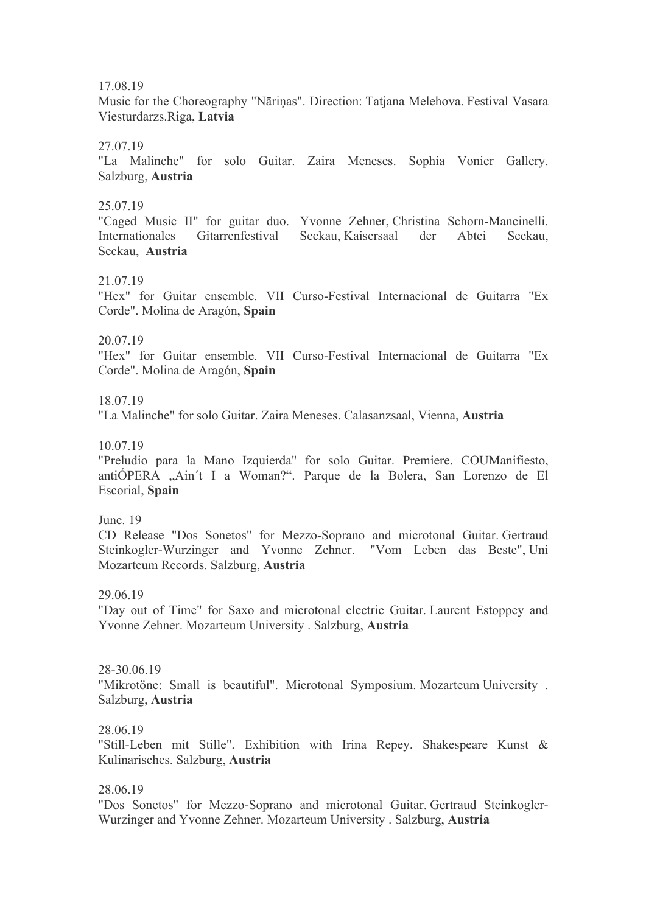17.08.19

Music for the Choreography "Nāriņas". Direction: Tatjana Melehova. Festival Vasara Viesturdarzs.Riga, **Latvia**

27.07.19

"La Malinche" for solo Guitar. Zaira Meneses. Sophia Vonier Gallery. Salzburg, **Austria**

25.07.19

"Caged Music II" for guitar duo. Yvonne Zehner, Christina Schorn-Mancinelli. Internationales Gitarrenfestival Seckau, Kaisersaal der Abtei Seckau, Seckau, **Austria**

21.07.19

"Hex" for Guitar ensemble. VII Curso-Festival Internacional de Guitarra "Ex Corde". Molina de Aragón, **Spain**

20.07.19

"Hex" for Guitar ensemble. VII Curso-Festival Internacional de Guitarra "Ex Corde". Molina de Aragón, **Spain**

18.07.19

"La Malinche" for solo Guitar. Zaira Meneses. Calasanzsaal, Vienna, **Austria**

10.07.19

"Preludio para la Mano Izquierda" for solo Guitar. Premiere. COUManifiesto, antiÓPERA "Ain´t I a Woman?". Parque de la Bolera, San Lorenzo de El Escorial, **Spain**

June. 19 CD Release "Dos Sonetos" for Mezzo-Soprano and microtonal Guitar. Gertraud Steinkogler-Wurzinger and Yvonne Zehner. "Vom Leben das Beste", Uni Mozarteum Records. Salzburg, **Austria**

29.06.19

"Day out of Time" for Saxo and microtonal electric Guitar. Laurent Estoppey and Yvonne Zehner. Mozarteum University . Salzburg, **Austria**

28-30.06.19 "Mikrotöne: Small is beautiful". Microtonal Symposium. Mozarteum University . Salzburg, **Austria**

28.06.19

"Still-Leben mit Stille". Exhibition with Irina Repey. Shakespeare Kunst & Kulinarisches. Salzburg, **Austria**

28.06.19

"Dos Sonetos" for Mezzo-Soprano and microtonal Guitar. Gertraud Steinkogler-Wurzinger and Yvonne Zehner. Mozarteum University . Salzburg, **Austria**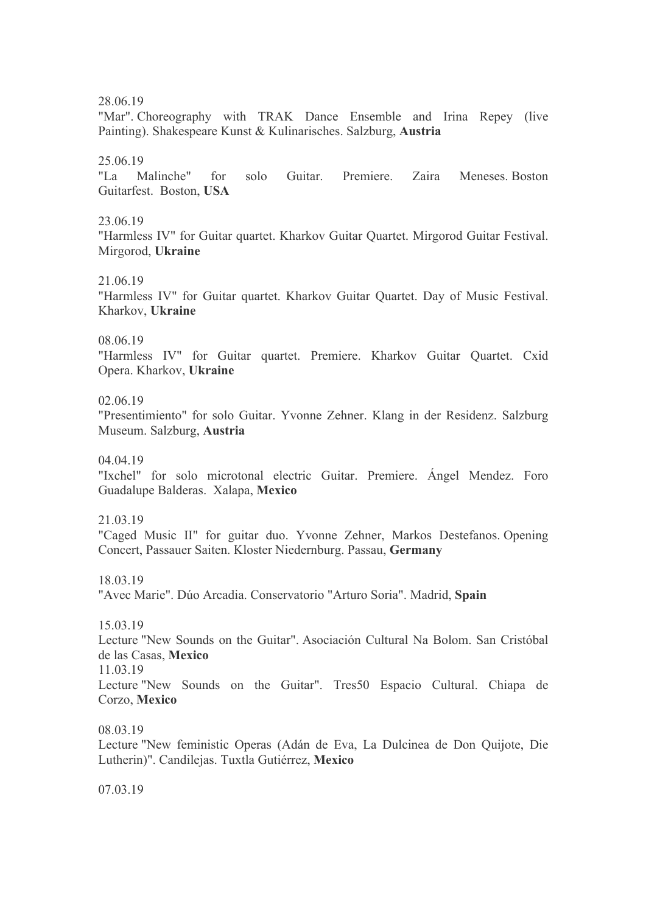28.06.19

"Mar". Choreography with TRAK Dance Ensemble and Irina Repey (live Painting). Shakespeare Kunst & Kulinarisches. Salzburg, **Austria**

25.06.19

"La Malinche" for solo Guitar. Premiere. Zaira Meneses. Boston Guitarfest. Boston, **USA**

23.06.19

"Harmless IV" for Guitar quartet. Kharkov Guitar Quartet. Mirgorod Guitar Festival. Mirgorod, **Ukraine**

21.06.19

"Harmless IV" for Guitar quartet. Kharkov Guitar Quartet. Day of Music Festival. Kharkov, **Ukraine**

08.06.19

"Harmless IV" for Guitar quartet. Premiere. Kharkov Guitar Quartet. Cxid Opera. Kharkov, **Ukraine**

02.06.19

"Presentimiento" for solo Guitar. Yvonne Zehner. Klang in der Residenz. Salzburg Museum. Salzburg, **Austria**

04.04.19

"Ixchel" for solo microtonal electric Guitar. Premiere. Ángel Mendez. Foro Guadalupe Balderas. Xalapa, **Mexico**

21.03.19

"Caged Music II" for guitar duo. Yvonne Zehner, Markos Destefanos. Opening Concert, Passauer Saiten. Kloster Niedernburg. Passau, **Germany**

18.03.19

"Avec Marie". Dúo Arcadia. Conservatorio "Arturo Soria". Madrid, **Spain**

15.03.19

Lecture "New Sounds on the Guitar". Asociación Cultural Na Bolom. San Cristóbal de las Casas, **Mexico**

11.03.19

Lecture "New Sounds on the Guitar". Tres50 Espacio Cultural. Chiapa de Corzo, **Mexico**

08.03.19

Lecture "New feministic Operas (Adán de Eva, La Dulcinea de Don Quijote, Die Lutherin)". Candilejas. Tuxtla Gutiérrez, **Mexico**

07.03.19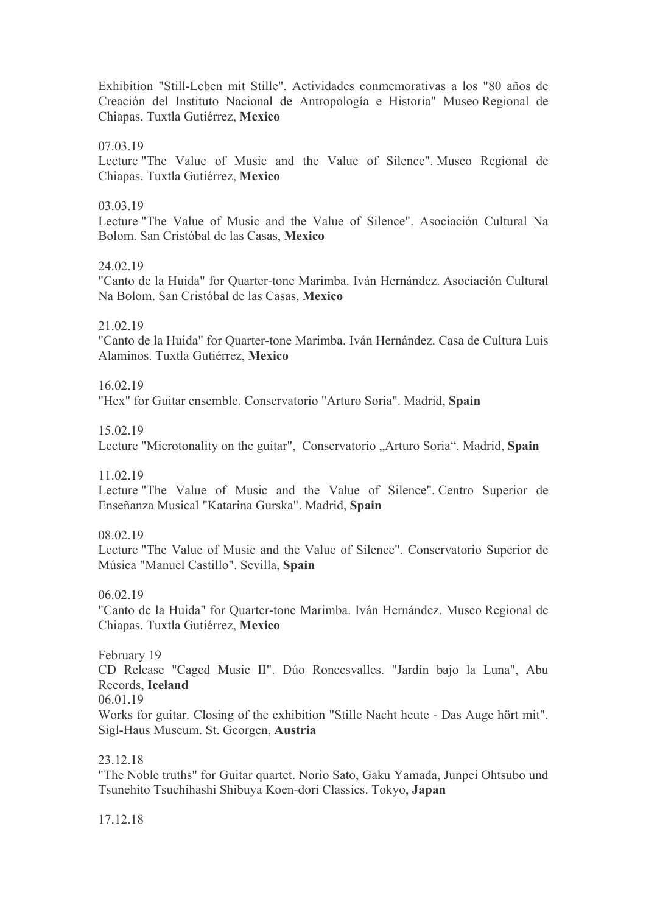Exhibition "Still-Leben mit Stille". Actividades conmemorativas a los "80 años de Creación del Instituto Nacional de Antropología e Historia" Museo Regional de Chiapas. Tuxtla Gutiérrez, **Mexico**

07.03.19

Lecture "The Value of Music and the Value of Silence". Museo Regional de Chiapas. Tuxtla Gutiérrez, **Mexico**

## 03.03.19

Lecture "The Value of Music and the Value of Silence". Asociación Cultural Na Bolom. San Cristóbal de las Casas, **Mexico**

## 24.02.19

"Canto de la Huida" for Quarter-tone Marimba. Iván Hernández. Asociación Cultural Na Bolom. San Cristóbal de las Casas, **Mexico**

21.02.19

"Canto de la Huida" for Quarter-tone Marimba. Iván Hernández. Casa de Cultura Luis Alaminos. Tuxtla Gutiérrez, **Mexico**

16.02.19

"Hex" for Guitar ensemble. Conservatorio "Arturo Soria". Madrid, **Spain**

15.02.19

Lecture "Microtonality on the guitar", Conservatorio "Arturo Soria". Madrid, Spain

11.02.19

Lecture "The Value of Music and the Value of Silence". Centro Superior de Enseñanza Musical "Katarina Gurska". Madrid, **Spain**

08.02.19

Lecture "The Value of Music and the Value of Silence". Conservatorio Superior de Música "Manuel Castillo". Sevilla, **Spain**

06.02.19

"Canto de la Huida" for Quarter-tone Marimba. Iván Hernández. Museo Regional de Chiapas. Tuxtla Gutiérrez, **Mexico**

February 19 CD Release "Caged Music II". Dúo Roncesvalles. "Jardín bajo la Luna", Abu Records, **Iceland** 06.01.19 Works for guitar. Closing of the exhibition "Stille Nacht heute - Das Auge hört mit".

23.12.18

Sigl-Haus Museum. St. Georgen, **Austria**

"The Noble truths" for Guitar quartet. Norio Sato, Gaku Yamada, Junpei Ohtsubo und Tsunehito Tsuchihashi Shibuya Koen-dori Classics. Tokyo, **Japan**

17.12.18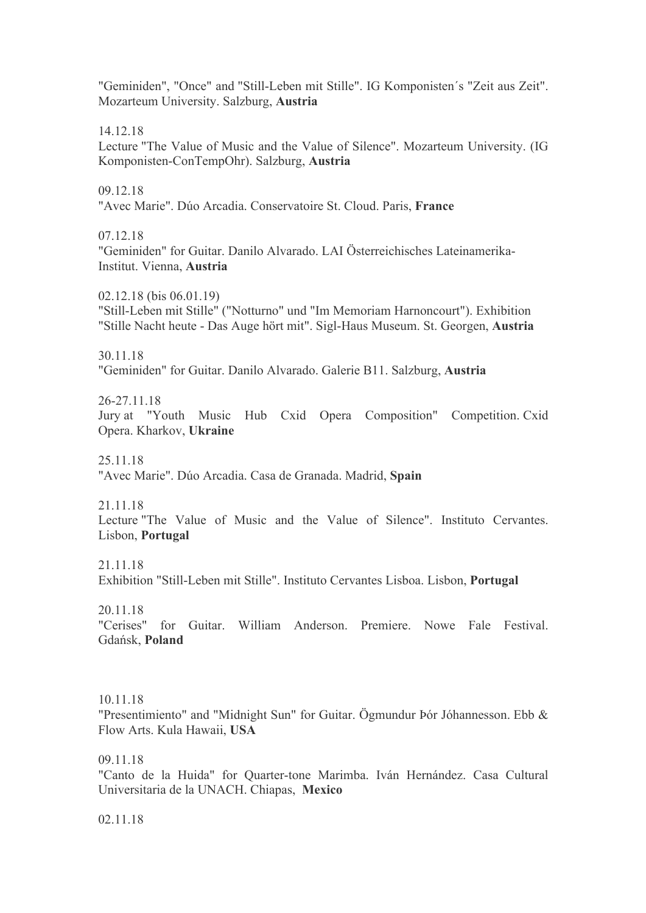"Geminiden", "Once" and "Still-Leben mit Stille". IG Komponisten´s "Zeit aus Zeit". Mozarteum University. Salzburg, **Austria**

14.12.18

Lecture "The Value of Music and the Value of Silence". Mozarteum University. (IG Komponisten-ConTempOhr). Salzburg, **Austria**

09.12.18

"Avec Marie". Dúo Arcadia. Conservatoire St. Cloud. Paris, **France**

07.12.18

"Geminiden" for Guitar. Danilo Alvarado. LAI Österreichisches Lateinamerika-Institut. Vienna, **Austria**

02.12.18 (bis 06.01.19) "Still-Leben mit Stille" ("Notturno" und "Im Memoriam Harnoncourt"). Exhibition "Stille Nacht heute - Das Auge hört mit". Sigl-Haus Museum. St. Georgen, **Austria**

30.11.18

"Geminiden" for Guitar. Danilo Alvarado. Galerie B11. Salzburg, **Austria**

26-27.11.18 Jury at "Youth Music Hub Cxid Opera Composition" Competition. Cxid Opera. Kharkov, **Ukraine**

25.11.18 "Avec Marie". Dúo Arcadia. Casa de Granada. Madrid, **Spain**

21.11.18

Lecture "The Value of Music and the Value of Silence". Instituto Cervantes. Lisbon, **Portugal**

21.11.18

Exhibition "Still-Leben mit Stille". Instituto Cervantes Lisboa. Lisbon, **Portugal**

20.11.18

"Cerises" for Guitar. William Anderson. Premiere. Nowe Fale Festival. Gdańsk, **Poland**

10.11.18

"Presentimiento" and "Midnight Sun" for Guitar. Ögmundur Þór Jóhannesson. Ebb & Flow Arts. Kula Hawaii, **USA**

09.11.18

"Canto de la Huida" for Quarter-tone Marimba. Iván Hernández. Casa Cultural Universitaria de la UNACH. Chiapas, **Mexico**

02.11.18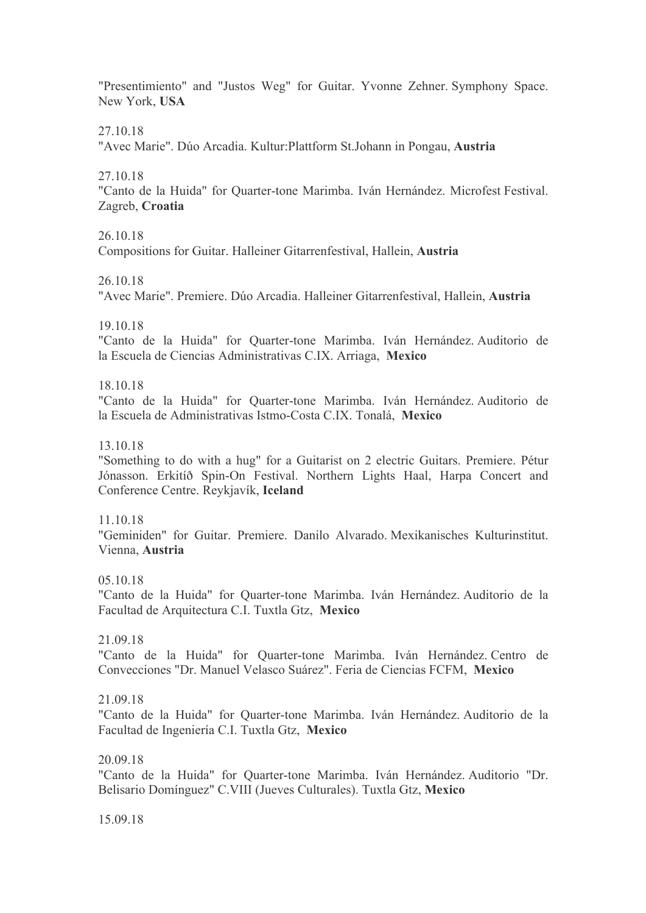"Presentimiento" and "Justos Weg" for Guitar. Yvonne Zehner. Symphony Space. New York, **USA**

27.10.18

"Avec Marie". Dúo Arcadia. Kultur:Plattform St.Johann in Pongau, **Austria**

27.10.18

"Canto de la Huida" for Quarter-tone Marimba. Iván Hernández. Microfest Festival. Zagreb, **Croatia**

26.10.18

Compositions for Guitar. Halleiner Gitarrenfestival, Hallein, **Austria**

26.10.18

"Avec Marie". Premiere. Dúo Arcadia. Halleiner Gitarrenfestival, Hallein, **Austria**

19.10.18

"Canto de la Huida" for Quarter-tone Marimba. Iván Hernández. Auditorio de la Escuela de Ciencias Administrativas C.IX. Arriaga, **Mexico**

18.10.18

"Canto de la Huida" for Quarter-tone Marimba. Iván Hernández. Auditorio de la Escuela de Administrativas Istmo-Costa C.IX. Tonalá, **Mexico**

13.10.18

"Something to do with a hug" for a Guitarist on 2 electric Guitars. Premiere. Pétur Jónasson. Erkitíð Spin-On Festival. Northern Lights Haal, Harpa Concert and Conference Centre. Reykjavík, **Iceland**

11.10.18

"Geminiden" for Guitar. Premiere. Danilo Alvarado. Mexikanisches Kulturinstitut. Vienna, **Austria**

05.10.18

"Canto de la Huida" for Quarter-tone Marimba. Iván Hernández. Auditorio de la Facultad de Arquitectura C.I. Tuxtla Gtz, **Mexico**

21.09.18

"Canto de la Huida" for Quarter-tone Marimba. Iván Hernández. Centro de Convecciones "Dr. Manuel Velasco Suárez". Feria de Ciencias FCFM, **Mexico**

21.09.18

"Canto de la Huida" for Quarter-tone Marimba. Iván Hernández. Auditorio de la Facultad de Ingeniería C.I. Tuxtla Gtz, **Mexico**

20.09.18

"Canto de la Huida" for Quarter-tone Marimba. Iván Hernández. Auditorio "Dr. Belisario Domínguez" C.VIII (Jueves Culturales). Tuxtla Gtz, **Mexico**

15.09.18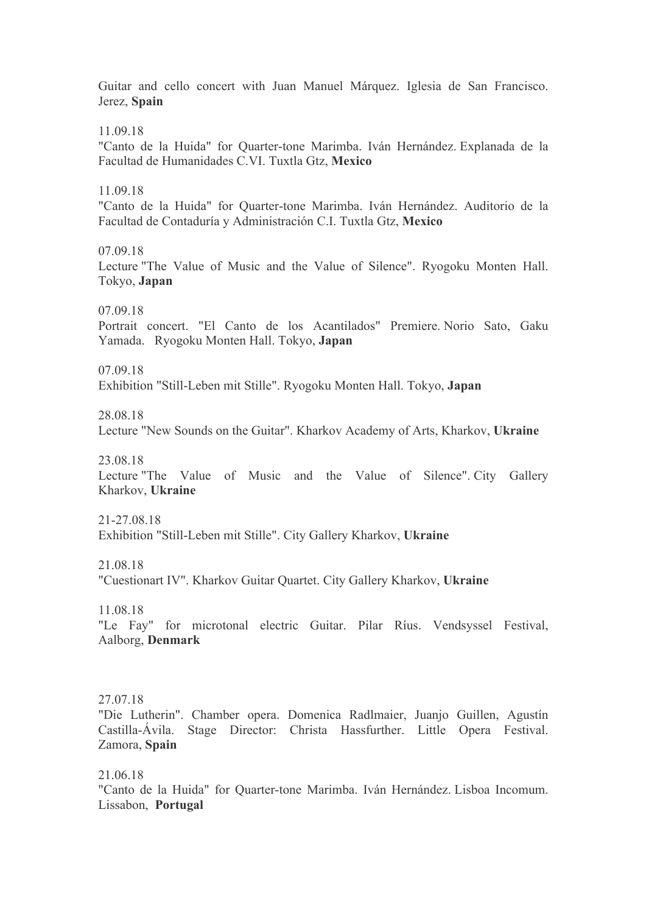Guitar and cello concert with Juan Manuel Márquez. Iglesia de San Francisco. Jerez, **Spain**

11.09.18

"Canto de la Huida" for Quarter-tone Marimba. Iván Hernández. Explanada de la Facultad de Humanidades C.VI. Tuxtla Gtz, **Mexico**

11.09.18

"Canto de la Huida" for Quarter-tone Marimba. Iván Hernández. Auditorio de la Facultad de Contaduría y Administración C.I. Tuxtla Gtz, **Mexico**

07.09.18

Lecture "The Value of Music and the Value of Silence". Ryogoku Monten Hall. Tokyo, **Japan**

07.09.18

Portrait concert. "El Canto de los Acantilados" Premiere. Norio Sato, Gaku Yamada. Ryogoku Monten Hall. Tokyo, **Japan**

07.09.18

Exhibition "Still-Leben mit Stille". Ryogoku Monten Hall. Tokyo, **Japan**

28.08.18

Lecture "New Sounds on the Guitar". Kharkov Academy of Arts, Kharkov, **Ukraine**

23.08.18

Lecture "The Value of Music and the Value of Silence". City Gallery Kharkov, **Ukraine**

21-27.08.18 Exhibition "Still-Leben mit Stille". City Gallery Kharkov, **Ukraine**

21.08.18

"Cuestionart IV". Kharkov Guitar Quartet. City Gallery Kharkov, **Ukraine**

11.08.18

"Le Fay" for microtonal electric Guitar. Pilar Ríus. Vendsyssel Festival, Aalborg, **Denmark**

27.07.18

"Die Lutherin". Chamber opera. Domenica Radlmaier, Juanjo Guillen, Agustín Castilla-Ávila. Stage Director: Christa Hassfurther. Little Opera Festival. Zamora, **Spain**

21.06.18

"Canto de la Huida" for Quarter-tone Marimba. Iván Hernández. Lisboa Incomum. Lissabon, **Portugal**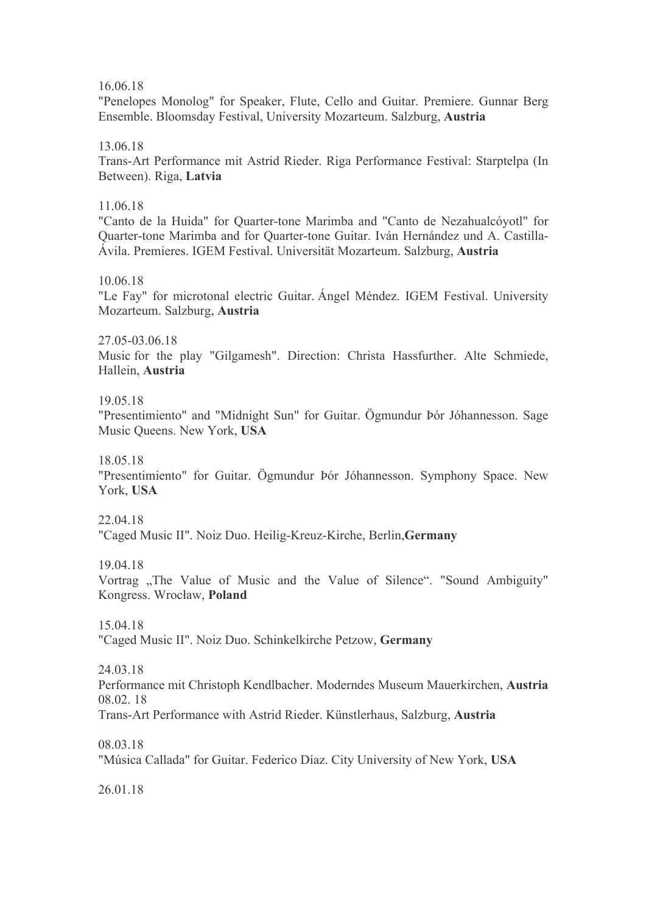16.06.18

"Penelopes Monolog" for Speaker, Flute, Cello and Guitar. Premiere. Gunnar Berg Ensemble. Bloomsday Festival, University Mozarteum. Salzburg, **Austria**

13.06.18

Trans-Art Performance mit Astrid Rieder. Riga Performance Festival: Starptelpa (In Between). Riga, **Latvia**

11.06.18

"Canto de la Huida" for Quarter-tone Marimba and "Canto de Nezahualcóyotl" for Quarter-tone Marimba and for Quarter-tone Guitar. Iván Hernández und A. Castilla-Ávila. Premieres. IGEM Festival. Universität Mozarteum. Salzburg, **Austria**

10.06.18

"Le Fay" for microtonal electric Guitar. Ángel Méndez. IGEM Festival. University Mozarteum. Salzburg, **Austria**

27.05-03.06.18

Music for the play "Gilgamesh". Direction: Christa Hassfurther. Alte Schmiede, Hallein, **Austria**

19.05.18

"Presentimiento" and "Midnight Sun" for Guitar. Ögmundur Þór Jóhannesson. Sage Music Queens. New York, **USA**

18.05.18

"Presentimiento" for Guitar. Ögmundur Þór Jóhannesson. Symphony Space. New York, **USA**

22.04.18

"Caged Music II". Noiz Duo. Heilig-Kreuz-Kirche, Berlin,**Germany**

19.04.18

Vortrag "The Value of Music and the Value of Silence". "Sound Ambiguity" Kongress. Wrocław, **Poland**

15.04.18 "Caged Music II". Noiz Duo. Schinkelkirche Petzow, **Germany**

24.03.18

Performance mit Christoph Kendlbacher. Moderndes Museum Mauerkirchen, **Austria** 08.02. 18

Trans-Art Performance with Astrid Rieder. Künstlerhaus, Salzburg, **Austria**

08.03.18

"Música Callada" for Guitar. Federico Díaz. City University of New York, **USA**

26.01.18